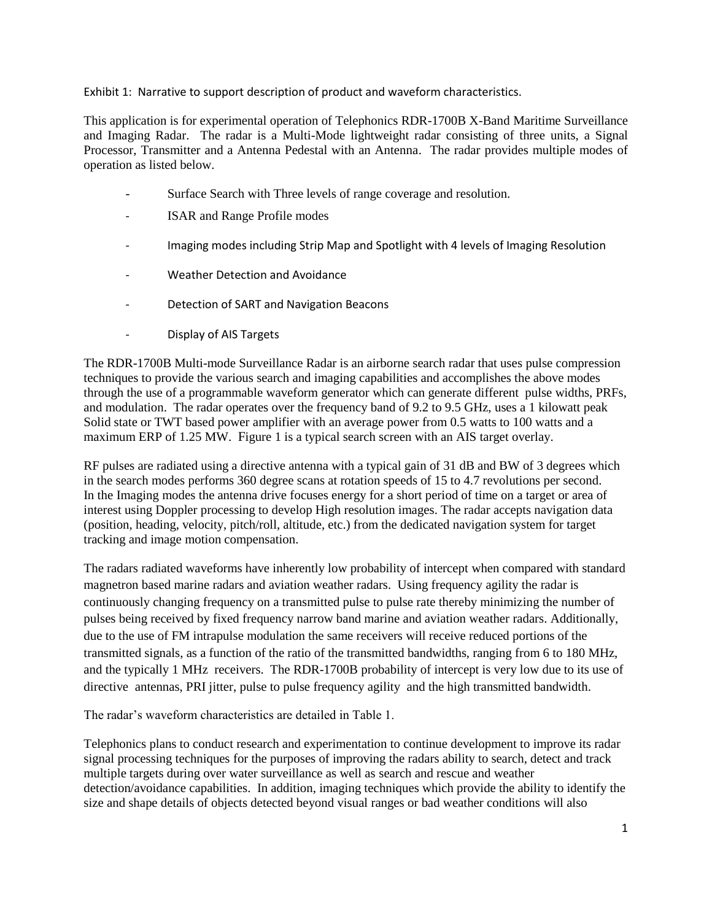Exhibit 1: Narrative to support description of product and waveform characteristics.

This application is for experimental operation of Telephonics RDR-1700B X-Band Maritime Surveillance and Imaging Radar. The radar is a Multi-Mode lightweight radar consisting of three units, a Signal Processor, Transmitter and a Antenna Pedestal with an Antenna. The radar provides multiple modes of operation as listed below.

- Surface Search with Three levels of range coverage and resolution.
- ISAR and Range Profile modes
- Imaging modes including Strip Map and Spotlight with 4 levels of Imaging Resolution
- Weather Detection and Avoidance
- Detection of SART and Navigation Beacons
- Display of AIS Targets

The RDR-1700B Multi-mode Surveillance Radar is an airborne search radar that uses pulse compression techniques to provide the various search and imaging capabilities and accomplishes the above modes through the use of a programmable waveform generator which can generate different pulse widths, PRFs, and modulation. The radar operates over the frequency band of 9.2 to 9.5 GHz, uses a 1 kilowatt peak Solid state or TWT based power amplifier with an average power from 0.5 watts to 100 watts and a maximum ERP of 1.25 MW. Figure 1 is a typical search screen with an AIS target overlay.

RF pulses are radiated using a directive antenna with a typical gain of 31 dB and BW of 3 degrees which in the search modes performs 360 degree scans at rotation speeds of 15 to 4.7 revolutions per second. In the Imaging modes the antenna drive focuses energy for a short period of time on a target or area of interest using Doppler processing to develop High resolution images. The radar accepts navigation data (position, heading, velocity, pitch/roll, altitude, etc.) from the dedicated navigation system for target tracking and image motion compensation.

The radars radiated waveforms have inherently low probability of intercept when compared with standard magnetron based marine radars and aviation weather radars. Using frequency agility the radar is continuously changing frequency on a transmitted pulse to pulse rate thereby minimizing the number of pulses being received by fixed frequency narrow band marine and aviation weather radars. Additionally, due to the use of FM intrapulse modulation the same receivers will receive reduced portions of the transmitted signals, as a function of the ratio of the transmitted bandwidths, ranging from 6 to 180 MHz, and the typically 1 MHz receivers. The RDR-1700B probability of intercept is very low due to its use of directive antennas, PRI jitter, pulse to pulse frequency agility and the high transmitted bandwidth.

The radar's waveform characteristics are detailed in Table 1.

Telephonics plans to conduct research and experimentation to continue development to improve its radar signal processing techniques for the purposes of improving the radars ability to search, detect and track multiple targets during over water surveillance as well as search and rescue and weather detection/avoidance capabilities. In addition, imaging techniques which provide the ability to identify the size and shape details of objects detected beyond visual ranges or bad weather conditions will also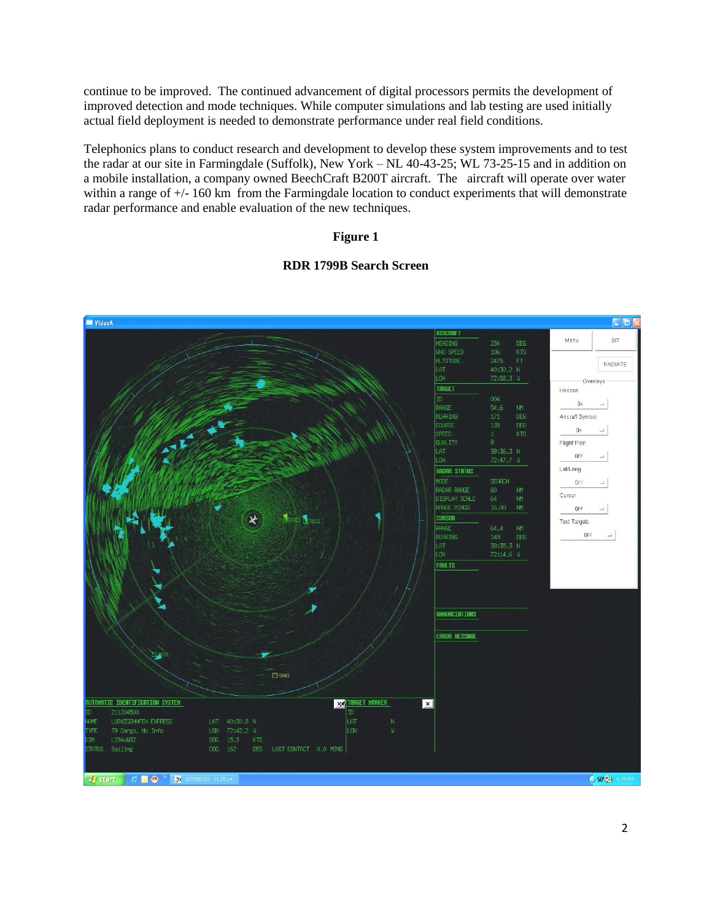continue to be improved. The continued advancement of digital processors permits the development of improved detection and mode techniques. While computer simulations and lab testing are used initially actual field deployment is needed to demonstrate performance under real field conditions.

Telephonics plans to conduct research and development to develop these system improvements and to test the radar at our site in Farmingdale (Suffolk), New York – NL 40-43-25; WL 73-25-15 and in addition on a mobile installation, a company owned BeechCraft B200T aircraft. The aircraft will operate over water within a range of  $+/- 160 \text{ km}$  from the Farmingdale location to conduct experiments that will demonstrate radar performance and enable evaluation of the new techniques.

#### **Figure 1**

#### **RDR 1799B Search Screen**